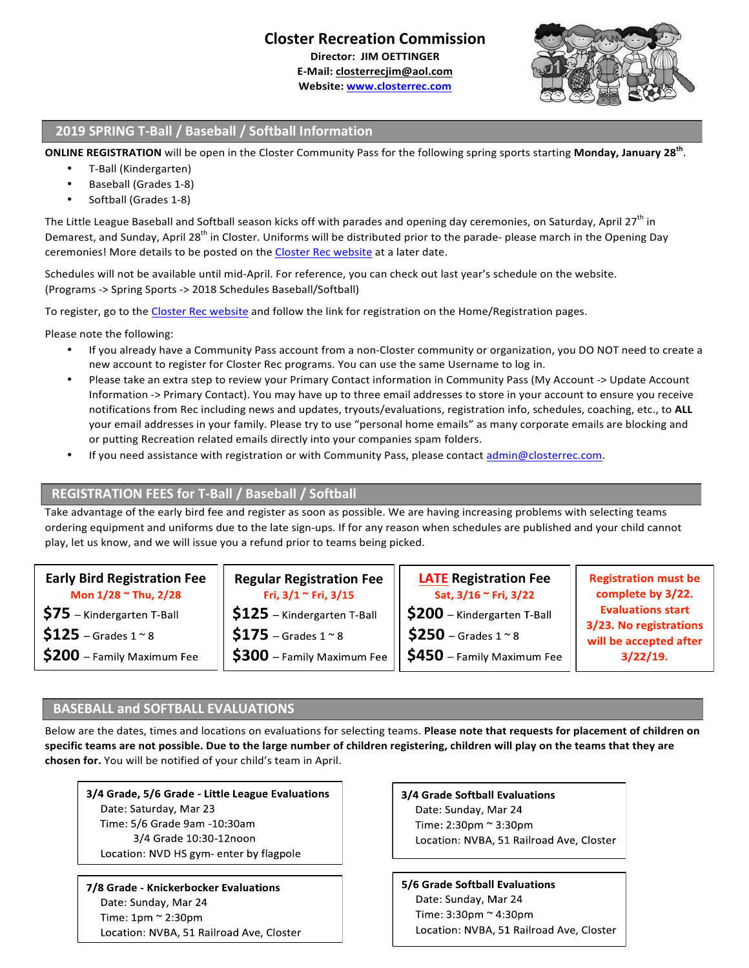# **Closter Recreation Commission**

**Director: JIM OETTINGER**

**E-Mail: closterrecjim@aol.com** Website: **www.closterrec.com** 



#### **2019 SPRING T-Ball / Baseball / Softball Information**

**ONLINE REGISTRATION** will be open in the Closter Community Pass for the following spring sports starting Monday, January 28<sup>th</sup>.

- T-Ball (Kindergarten)
- Baseball (Grades 1-8)
- Softball (Grades 1-8)

The Little League Baseball and Softball season kicks off with parades and opening day ceremonies, on Saturday, April 27<sup>th</sup> in Demarest, and Sunday, April 28<sup>th</sup> in Closter. Uniforms will be distributed prior to the parade- please march in the Opening Day ceremonies! More details to be posted on the Closter Rec website at a later date.

Schedules will not be available until mid-April. For reference, you can check out last year's schedule on the website. (Programs -> Spring Sports -> 2018 Schedules Baseball/Softball)

To register, go to the Closter Rec website and follow the link for registration on the Home/Registration pages.

Please note the following:

- If you already have a Community Pass account from a non-Closter community or organization, you DO NOT need to create a new account to register for Closter Rec programs. You can use the same Username to log in.
- Please take an extra step to review your Primary Contact information in Community Pass (My Account -> Update Account Information -> Primary Contact). You may have up to three email addresses to store in your account to ensure you receive notifications from Rec including news and updates, tryouts/evaluations, registration info, schedules, coaching, etc., to ALL your email addresses in your family. Please try to use "personal home emails" as many corporate emails are blocking and or putting Recreation related emails directly into your companies spam folders.
- If you need assistance with registration or with Community Pass, please contact admin@closterrec.com.

## **REGISTRATION FEES for T-Ball / Baseball / Softball**

Take advantage of the early bird fee and register as soon as possible. We are having increasing problems with selecting teams ordering equipment and uniforms due to the late sign-ups. If for any reason when schedules are published and your child cannot play, let us know, and we will issue you a refund prior to teams being picked.

| <b>Early Bird Registration Fee</b><br>Mon 1/28 ~ Thu, 2/28 | <b>Regular Registration Fee</b><br>Fri, $3/1$ $\sim$ Fri, $3/15$ | <b>LATE Registration Fee</b><br>Sat, 3/16 ~ Fri, 3/22 | <b>Registration must be</b><br>complete by 3/22.                                         |
|------------------------------------------------------------|------------------------------------------------------------------|-------------------------------------------------------|------------------------------------------------------------------------------------------|
| $$75$ - Kindergarten T-Ball                                | $$125$ – Kindergarten T-Ball                                     | $\frac{1}{2}$ S200 – Kindergarten T-Ball              | <b>Evaluations start</b><br>3/23. No registrations<br>will be accepted after<br>3/22/19. |
| $$125$ – Grades 1 $^{\circ}$ 8                             | $$175$ – Grades 1 $^{\circ}$ 8                                   | $$250$ – Grades 1 $\approx$ 8                         |                                                                                          |
| $$200$ – Family Maximum Fee                                | $$300$ – Family Maximum Fee $'$                                  | $\frac{1}{2}$ \$450 – Family Maximum Fee $^{\prime}$  |                                                                                          |

## **BASEBALL and SOFTBALL EVALUATIONS**

Below are the dates, times and locations on evaluations for selecting teams. Please note that requests for placement of children on specific teams are not possible. Due to the large number of children registering, children will play on the teams that they are chosen for. You will be notified of your child's team in April.

3/4 Grade, 5/6 Grade - Little League Evaluations Date: Saturday, Mar 23 Time: 5/6 Grade 9am -10:30am 3/4 Grade 10:30-12noon Location: NVD HS gym- enter by flagpole

7/8 Grade - Knickerbocker Evaluations Date: Sunday, Mar 24 Time:  $1pm \approx 2:30pm$ Location: NVBA, 51 Railroad Ave, Closter 3/4 Grade Softball Evaluations Date: Sunday, Mar 24 Time: 2:30pm ~ 3:30pm Location: NVBA, 51 Railroad Ave, Closter

5/6 Grade Softball Evaluations Date: Sunday, Mar 24 Time: 3:30pm ~ 4:30pm Location: NVBA, 51 Railroad Ave, Closter